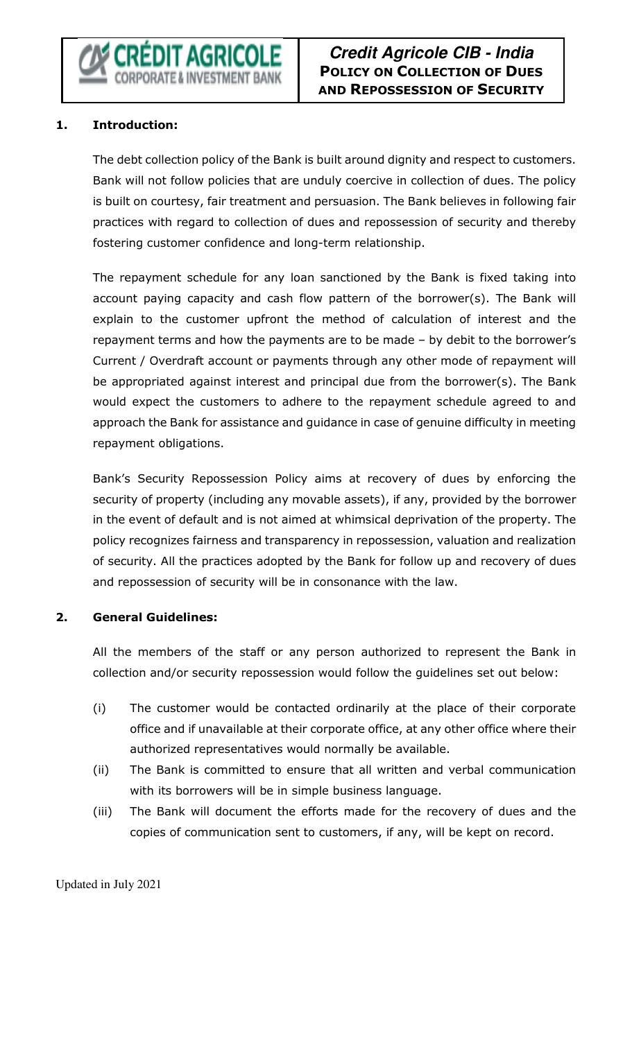# **Credit Agricole CIB - India POLICY ON COLLECTION OF DUES AND REPOSSESSION OF SECURITY**

#### **1. Introduction:**

The debt collection policy of the Bank is built around dignity and respect to customers. Bank will not follow policies that are unduly coercive in collection of dues. The policy is built on courtesy, fair treatment and persuasion. The Bank believes in following fair practices with regard to collection of dues and repossession of security and thereby fostering customer confidence and long-term relationship.

The repayment schedule for any loan sanctioned by the Bank is fixed taking into account paying capacity and cash flow pattern of the borrower(s). The Bank will explain to the customer upfront the method of calculation of interest and the repayment terms and how the payments are to be made – by debit to the borrower's Current / Overdraft account or payments through any other mode of repayment will be appropriated against interest and principal due from the borrower(s). The Bank would expect the customers to adhere to the repayment schedule agreed to and approach the Bank for assistance and guidance in case of genuine difficulty in meeting repayment obligations.

Bank's Security Repossession Policy aims at recovery of dues by enforcing the security of property (including any movable assets), if any, provided by the borrower in the event of default and is not aimed at whimsical deprivation of the property. The policy recognizes fairness and transparency in repossession, valuation and realization of security. All the practices adopted by the Bank for follow up and recovery of dues and repossession of security will be in consonance with the law.

#### **2. General Guidelines:**

All the members of the staff or any person authorized to represent the Bank in collection and/or security repossession would follow the guidelines set out below:

- (i) The customer would be contacted ordinarily at the place of their corporate office and if unavailable at their corporate office, at any other office where their authorized representatives would normally be available.
- (ii) The Bank is committed to ensure that all written and verbal communication with its borrowers will be in simple business language.
- (iii) The Bank will document the efforts made for the recovery of dues and the copies of communication sent to customers, if any, will be kept on record.

Updated in July 2021